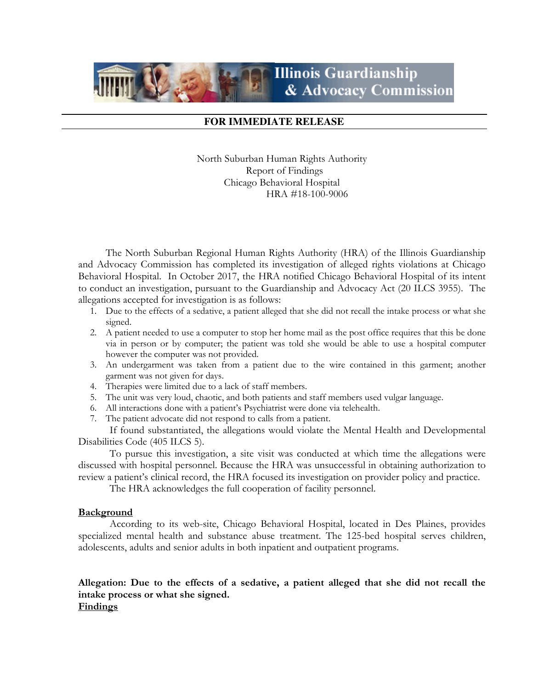# **Illinois Guardianship** & Advocacy Commission

# **FOR IMMEDIATE RELEASE**

North Suburban Human Rights Authority Report of Findings Chicago Behavioral Hospital HRA #18-100-9006

The North Suburban Regional Human Rights Authority (HRA) of the Illinois Guardianship and Advocacy Commission has completed its investigation of alleged rights violations at Chicago Behavioral Hospital. In October 2017, the HRA notified Chicago Behavioral Hospital of its intent to conduct an investigation, pursuant to the Guardianship and Advocacy Act (20 ILCS 3955). The allegations accepted for investigation is as follows:

- 1. Due to the effects of a sedative, a patient alleged that she did not recall the intake process or what she signed.
- 2. A patient needed to use a computer to stop her home mail as the post office requires that this be done via in person or by computer; the patient was told she would be able to use a hospital computer however the computer was not provided.
- 3. An undergarment was taken from a patient due to the wire contained in this garment; another garment was not given for days.
- 4. Therapies were limited due to a lack of staff members.
- 5. The unit was very loud, chaotic, and both patients and staff members used vulgar language.
- 6. All interactions done with a patient's Psychiatrist were done via telehealth.
- 7. The patient advocate did not respond to calls from a patient.

 If found substantiated, the allegations would violate the Mental Health and Developmental Disabilities Code (405 ILCS 5).

To pursue this investigation, a site visit was conducted at which time the allegations were discussed with hospital personnel. Because the HRA was unsuccessful in obtaining authorization to review a patient's clinical record, the HRA focused its investigation on provider policy and practice.

The HRA acknowledges the full cooperation of facility personnel.

## **Background**

According to its web-site, Chicago Behavioral Hospital, located in Des Plaines, provides specialized mental health and substance abuse treatment. The 125-bed hospital serves children, adolescents, adults and senior adults in both inpatient and outpatient programs.

# Allegation: Due to the effects of a sedative, a patient alleged that she did not recall the intake process or what she signed. Findings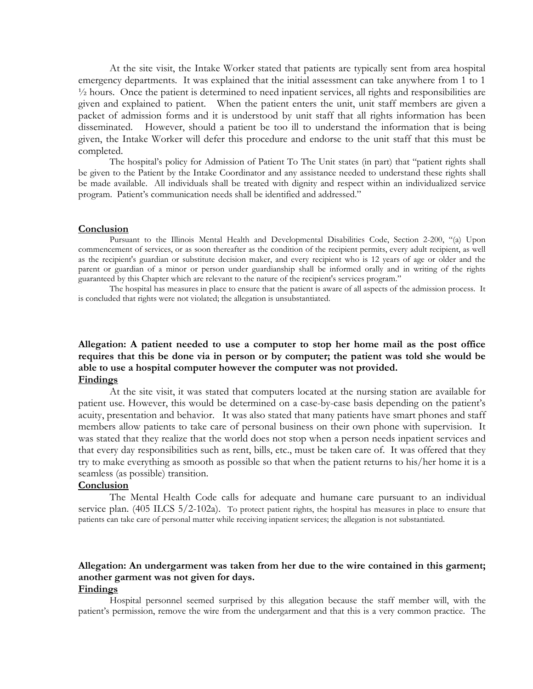At the site visit, the Intake Worker stated that patients are typically sent from area hospital emergency departments. It was explained that the initial assessment can take anywhere from 1 to 1 ½ hours. Once the patient is determined to need inpatient services, all rights and responsibilities are given and explained to patient. When the patient enters the unit, unit staff members are given a packet of admission forms and it is understood by unit staff that all rights information has been disseminated. However, should a patient be too ill to understand the information that is being given, the Intake Worker will defer this procedure and endorse to the unit staff that this must be completed.

The hospital's policy for Admission of Patient To The Unit states (in part) that "patient rights shall be given to the Patient by the Intake Coordinator and any assistance needed to understand these rights shall be made available. All individuals shall be treated with dignity and respect within an individualized service program. Patient's communication needs shall be identified and addressed."

#### **Conclusion**

Pursuant to the Illinois Mental Health and Developmental Disabilities Code, Section 2-200, "(a) Upon commencement of services, or as soon thereafter as the condition of the recipient permits, every adult recipient, as well as the recipient's guardian or substitute decision maker, and every recipient who is 12 years of age or older and the parent or guardian of a minor or person under guardianship shall be informed orally and in writing of the rights guaranteed by this Chapter which are relevant to the nature of the recipient's services program."

The hospital has measures in place to ensure that the patient is aware of all aspects of the admission process. It is concluded that rights were not violated; the allegation is unsubstantiated.

# Allegation: A patient needed to use a computer to stop her home mail as the post office requires that this be done via in person or by computer; the patient was told she would be able to use a hospital computer however the computer was not provided. Findings

At the site visit, it was stated that computers located at the nursing station are available for patient use. However, this would be determined on a case-by-case basis depending on the patient's acuity, presentation and behavior. It was also stated that many patients have smart phones and staff members allow patients to take care of personal business on their own phone with supervision. It was stated that they realize that the world does not stop when a person needs inpatient services and that every day responsibilities such as rent, bills, etc., must be taken care of. It was offered that they try to make everything as smooth as possible so that when the patient returns to his/her home it is a seamless (as possible) transition.

#### **Conclusion**

The Mental Health Code calls for adequate and humane care pursuant to an individual service plan. (405 ILCS 5/2-102a). To protect patient rights, the hospital has measures in place to ensure that patients can take care of personal matter while receiving inpatient services; the allegation is not substantiated.

# Allegation: An undergarment was taken from her due to the wire contained in this garment; another garment was not given for days.

#### Findings

Hospital personnel seemed surprised by this allegation because the staff member will, with the patient's permission, remove the wire from the undergarment and that this is a very common practice. The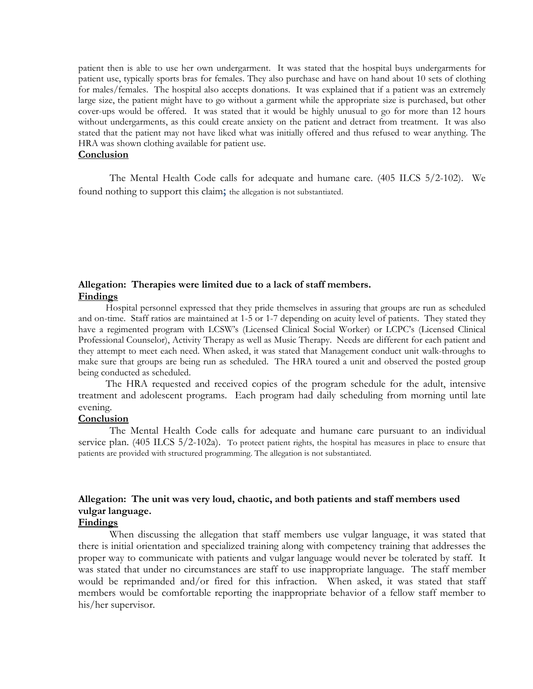patient then is able to use her own undergarment. It was stated that the hospital buys undergarments for patient use, typically sports bras for females. They also purchase and have on hand about 10 sets of clothing for males/females. The hospital also accepts donations. It was explained that if a patient was an extremely large size, the patient might have to go without a garment while the appropriate size is purchased, but other cover-ups would be offered. It was stated that it would be highly unusual to go for more than 12 hours without undergarments, as this could create anxiety on the patient and detract from treatment. It was also stated that the patient may not have liked what was initially offered and thus refused to wear anything. The HRA was shown clothing available for patient use.

#### **Conclusion**

The Mental Health Code calls for adequate and humane care. (405 ILCS 5/2-102). We found nothing to support this claim; the allegation is not substantiated.

## Allegation: Therapies were limited due to a lack of staff members. Findings

Hospital personnel expressed that they pride themselves in assuring that groups are run as scheduled and on-time. Staff ratios are maintained at 1-5 or 1-7 depending on acuity level of patients. They stated they have a regimented program with LCSW's (Licensed Clinical Social Worker) or LCPC's (Licensed Clinical Professional Counselor), Activity Therapy as well as Music Therapy. Needs are different for each patient and they attempt to meet each need. When asked, it was stated that Management conduct unit walk-throughs to make sure that groups are being run as scheduled. The HRA toured a unit and observed the posted group being conducted as scheduled.

The HRA requested and received copies of the program schedule for the adult, intensive treatment and adolescent programs. Each program had daily scheduling from morning until late evening.

#### **Conclusion**

The Mental Health Code calls for adequate and humane care pursuant to an individual service plan. (405 ILCS 5/2-102a). To protect patient rights, the hospital has measures in place to ensure that patients are provided with structured programming. The allegation is not substantiated.

# Allegation: The unit was very loud, chaotic, and both patients and staff members used vulgar language.

## Findings

When discussing the allegation that staff members use vulgar language, it was stated that there is initial orientation and specialized training along with competency training that addresses the proper way to communicate with patients and vulgar language would never be tolerated by staff. It was stated that under no circumstances are staff to use inappropriate language. The staff member would be reprimanded and/or fired for this infraction. When asked, it was stated that staff members would be comfortable reporting the inappropriate behavior of a fellow staff member to his/her supervisor.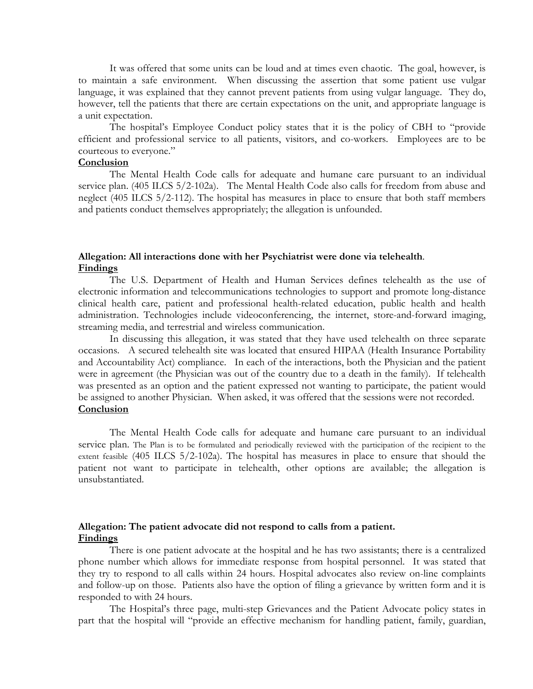It was offered that some units can be loud and at times even chaotic. The goal, however, is to maintain a safe environment. When discussing the assertion that some patient use vulgar language, it was explained that they cannot prevent patients from using vulgar language. They do, however, tell the patients that there are certain expectations on the unit, and appropriate language is a unit expectation.

The hospital's Employee Conduct policy states that it is the policy of CBH to "provide efficient and professional service to all patients, visitors, and co-workers. Employees are to be courteous to everyone."

# **Conclusion**

The Mental Health Code calls for adequate and humane care pursuant to an individual service plan. (405 ILCS 5/2-102a). The Mental Health Code also calls for freedom from abuse and neglect (405 ILCS 5/2-112). The hospital has measures in place to ensure that both staff members and patients conduct themselves appropriately; the allegation is unfounded.

#### Allegation: All interactions done with her Psychiatrist were done via telehealth. Findings

The U.S. Department of Health and Human Services defines telehealth as the use of electronic information and telecommunications technologies to support and promote long-distance clinical health care, patient and professional health-related education, public health and health administration. Technologies include videoconferencing, the internet, store-and-forward imaging, streaming media, and terrestrial and wireless communication.

In discussing this allegation, it was stated that they have used telehealth on three separate occasions. A secured telehealth site was located that ensured HIPAA (Health Insurance Portability and Accountability Act) compliance. In each of the interactions, both the Physician and the patient were in agreement (the Physician was out of the country due to a death in the family). If telehealth was presented as an option and the patient expressed not wanting to participate, the patient would be assigned to another Physician. When asked, it was offered that the sessions were not recorded. **Conclusion** 

The Mental Health Code calls for adequate and humane care pursuant to an individual service plan. The Plan is to be formulated and periodically reviewed with the participation of the recipient to the extent feasible (405 ILCS 5/2-102a). The hospital has measures in place to ensure that should the patient not want to participate in telehealth, other options are available; the allegation is unsubstantiated.

# Allegation: The patient advocate did not respond to calls from a patient. Findings

There is one patient advocate at the hospital and he has two assistants; there is a centralized phone number which allows for immediate response from hospital personnel. It was stated that they try to respond to all calls within 24 hours. Hospital advocates also review on-line complaints and follow-up on those. Patients also have the option of filing a grievance by written form and it is responded to with 24 hours.

The Hospital's three page, multi-step Grievances and the Patient Advocate policy states in part that the hospital will "provide an effective mechanism for handling patient, family, guardian,